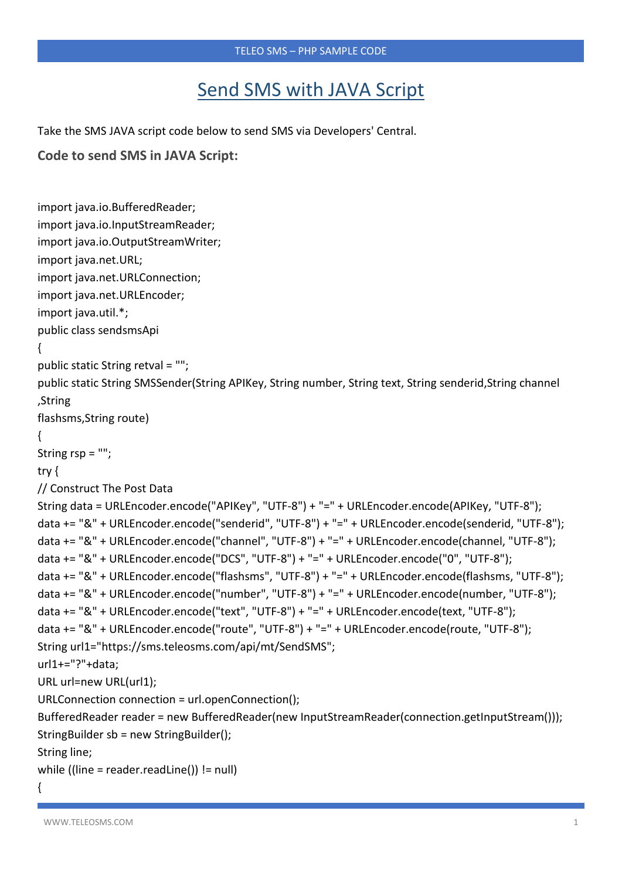## Send SMS with JAVA Script

Take the SMS JAVA script code below to send SMS via Developers' Central.

```
Code to send SMS in JAVA Script:
```

```
import java.io.BufferedReader;
import java.io.InputStreamReader;
import java.io.OutputStreamWriter;
import java.net.URL;
import java.net.URLConnection;
import java.net.URLEncoder;
import java.util.*;
public class sendsmsApi
{
public static String retval = "";
public static String SMSSender(String APIKey, String number, String text, String senderid,String channel 
,String
flashsms,String route)
\{String rsp = "";
try {
// Construct The Post Data
String data = URLEncoder.encode("APIKey", "UTF-8") + "=" + URLEncoder.encode(APIKey, "UTF-8");
data += "&" + URLEncoder.encode("senderid", "UTF-8") + "=" + URLEncoder.encode(senderid, "UTF-8");
data += "&" + URLEncoder.encode("channel", "UTF-8") + "=" + URLEncoder.encode(channel, "UTF-8");
data += "&" + URLEncoder.encode("DCS", "UTF-8") + "=" + URLEncoder.encode("0", "UTF-8");
data += "&" + URLEncoder.encode("flashsms", "UTF-8") + "=" + URLEncoder.encode(flashsms, "UTF-8");
data += "&" + URLEncoder.encode("number", "UTF-8") + "=" + URLEncoder.encode(number, "UTF-8");
data += "&" + URLEncoder.encode("text", "UTF-8") + "=" + URLEncoder.encode(text, "UTF-8");
data += "&" + URLEncoder.encode("route", "UTF-8") + "=" + URLEncoder.encode(route, "UTF-8");
String url1="https://sms.teleosms.com/api/mt/SendSMS";
url1+="?"+data;
URL url=new URL(url1);
URLConnection connection = url.openConnection();
BufferedReader reader = new BufferedReader(new InputStreamReader(connection.getInputStream()));
StringBuilder sb = new StringBuilder();
String line;
while ((line = reader.readLine()) != null)
```

```
{
```